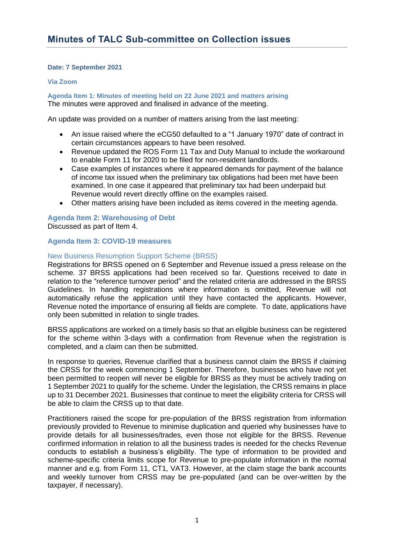# **Date: 7 September 2021**

## **Via Zoom**

**Agenda Item 1: Minutes of meeting held on 22 June 2021 and matters arising** The minutes were approved and finalised in advance of the meeting.

An update was provided on a number of matters arising from the last meeting:

- An issue raised where the eCG50 defaulted to a "1 January 1970" date of contract in certain circumstances appears to have been resolved.
- Revenue updated the ROS Form 11 Tax and Duty Manual to include the workaround to enable Form 11 for 2020 to be filed for non-resident landlords.
- Case examples of instances where it appeared demands for payment of the balance of income tax issued when the preliminary tax obligations had been met have been examined. In one case it appeared that preliminary tax had been underpaid but Revenue would revert directly offline on the examples raised.
- Other matters arising have been included as items covered in the meeting agenda.

# **Agenda Item 2: Warehousing of Debt**

Discussed as part of Item 4.

# **Agenda Item 3: COVID-19 measures**

# New Business Resumption Support Scheme (BRSS)

Registrations for BRSS opened on 6 September and Revenue issued a press release on the scheme. 37 BRSS applications had been received so far. Questions received to date in relation to the "reference turnover period" and the related criteria are addressed in the BRSS Guidelines. In handling registrations where information is omitted, Revenue will not automatically refuse the application until they have contacted the applicants. However, Revenue noted the importance of ensuring all fields are complete. To date, applications have only been submitted in relation to single trades.

BRSS applications are worked on a timely basis so that an eligible business can be registered for the scheme within 3-days with a confirmation from Revenue when the registration is completed, and a claim can then be submitted.

In response to queries, Revenue clarified that a business cannot claim the BRSS if claiming the CRSS for the week commencing 1 September. Therefore, businesses who have not yet been permitted to reopen will never be eligible for BRSS as they must be actively trading on 1 September 2021 to qualify for the scheme. Under the legislation, the CRSS remains in place up to 31 December 2021. Businesses that continue to meet the eligibility criteria for CRSS will be able to claim the CRSS up to that date.

Practitioners raised the scope for pre-population of the BRSS registration from information previously provided to Revenue to minimise duplication and queried why businesses have to provide details for all businesses/trades, even those not eligible for the BRSS. Revenue confirmed information in relation to all the business trades is needed for the checks Revenue conducts to establish a business's eligibility. The type of information to be provided and scheme-specific criteria limits scope for Revenue to pre-populate information in the normal manner and e.g. from Form 11, CT1, VAT3. However, at the claim stage the bank accounts and weekly turnover from CRSS may be pre-populated (and can be over-written by the taxpayer, if necessary).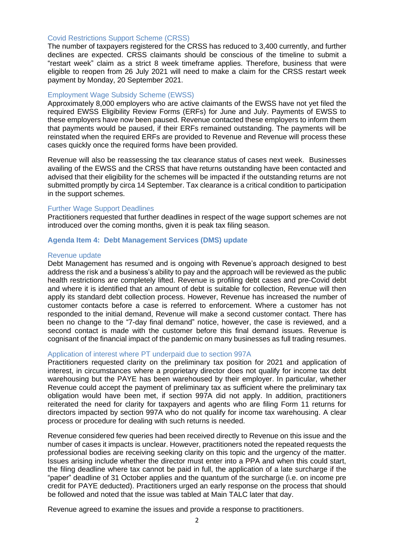## Covid Restrictions Support Scheme (CRSS)

The number of taxpayers registered for the CRSS has reduced to 3,400 currently, and further declines are expected. CRSS claimants should be conscious of the timeline to submit a "restart week" claim as a strict 8 week timeframe applies. Therefore, business that were eligible to reopen from 26 July 2021 will need to make a claim for the CRSS restart week payment by Monday, 20 September 2021.

### Employment Wage Subsidy Scheme (EWSS)

Approximately 8,000 employers who are active claimants of the EWSS have not yet filed the required EWSS Eligibility Review Forms (ERFs) for June and July. Payments of EWSS to these employers have now been paused. Revenue contacted these employers to inform them that payments would be paused, if their ERFs remained outstanding. The payments will be reinstated when the required ERFs are provided to Revenue and Revenue will process these cases quickly once the required forms have been provided.

Revenue will also be reassessing the tax clearance status of cases next week. Businesses availing of the EWSS and the CRSS that have returns outstanding have been contacted and advised that their eligibility for the schemes will be impacted if the outstanding returns are not submitted promptly by circa 14 September. Tax clearance is a critical condition to participation in the support schemes.

### Further Wage Support Deadlines

Practitioners requested that further deadlines in respect of the wage support schemes are not introduced over the coming months, given it is peak tax filing season.

## **Agenda Item 4: Debt Management Services (DMS) update**

#### Revenue update

Debt Management has resumed and is ongoing with Revenue's approach designed to best address the risk and a business's ability to pay and the approach will be reviewed as the public health restrictions are completely lifted. Revenue is profiling debt cases and pre-Covid debt and where it is identified that an amount of debt is suitable for collection, Revenue will then apply its standard debt collection process. However, Revenue has increased the number of customer contacts before a case is referred to enforcement. Where a customer has not responded to the initial demand, Revenue will make a second customer contact. There has been no change to the "7-day final demand" notice, however, the case is reviewed, and a second contact is made with the customer before this final demand issues. Revenue is cognisant of the financial impact of the pandemic on many businesses as full trading resumes.

### Application of interest where PT underpaid due to section 997A

Practitioners requested clarity on the preliminary tax position for 2021 and application of interest, in circumstances where a proprietary director does not qualify for income tax debt warehousing but the PAYE has been warehoused by their employer. In particular, whether Revenue could accept the payment of preliminary tax as sufficient where the preliminary tax obligation would have been met, if section 997A did not apply. In addition, practitioners reiterated the need for clarity for taxpayers and agents who are filing Form 11 returns for directors impacted by section 997A who do not qualify for income tax warehousing. A clear process or procedure for dealing with such returns is needed.

Revenue considered few queries had been received directly to Revenue on this issue and the number of cases it impacts is unclear. However, practitioners noted the repeated requests the professional bodies are receiving seeking clarity on this topic and the urgency of the matter. Issues arising include whether the director must enter into a PPA and when this could start, the filing deadline where tax cannot be paid in full, the application of a late surcharge if the "paper" deadline of 31 October applies and the quantum of the surcharge (i.e. on income pre credit for PAYE deducted). Practitioners urged an early response on the process that should be followed and noted that the issue was tabled at Main TALC later that day.

Revenue agreed to examine the issues and provide a response to practitioners.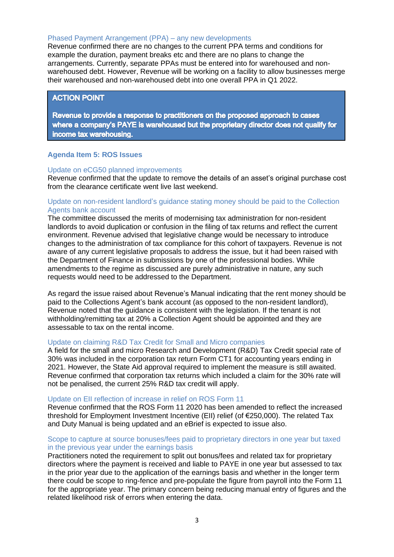### Phased Payment Arrangement (PPA) – any new developments

Revenue confirmed there are no changes to the current PPA terms and conditions for example the duration, payment breaks etc and there are no plans to change the arrangements. Currently, separate PPAs must be entered into for warehoused and nonwarehoused debt. However, Revenue will be working on a facility to allow businesses merge their warehoused and non-warehoused debt into one overall PPA in Q1 2022.

# **ACTION POINT**

Revenue to provide a response to practitioners on the proposed approach to cases where a company's PAYE is warehoused but the proprietary director does not qualify for income tax warehousing.

### **Agenda Item 5: ROS Issues**

### Update on eCG50 planned improvements

Revenue confirmed that the update to remove the details of an asset's original purchase cost from the clearance certificate went live last weekend.

## Update on non-resident landlord's guidance stating money should be paid to the Collection Agents bank account

The committee discussed the merits of modernising tax administration for non-resident landlords to avoid duplication or confusion in the filing of tax returns and reflect the current environment. Revenue advised that legislative change would be necessary to introduce changes to the administration of tax compliance for this cohort of taxpayers. Revenue is not aware of any current legislative proposals to address the issue, but it had been raised with the Department of Finance in submissions by one of the professional bodies. While amendments to the regime as discussed are purely administrative in nature, any such requests would need to be addressed to the Department.

As regard the issue raised about Revenue's Manual indicating that the rent money should be paid to the Collections Agent's bank account (as opposed to the non-resident landlord), Revenue noted that the guidance is consistent with the legislation. If the tenant is not withholding/remitting tax at 20% a Collection Agent should be appointed and they are assessable to tax on the rental income.

### Update on claiming R&D Tax Credit for Small and Micro companies

A field for the small and micro Research and Development (R&D) Tax Credit special rate of 30% was included in the corporation tax return Form CT1 for accounting years ending in 2021. However, the State Aid approval required to implement the measure is still awaited. Revenue confirmed that corporation tax returns which included a claim for the 30% rate will not be penalised, the current 25% R&D tax credit will apply.

#### Update on EII reflection of increase in relief on ROS Form 11

Revenue confirmed that the ROS Form 11 2020 has been amended to reflect the increased threshold for Employment Investment Incentive (EII) relief (of €250,000). The related Tax and Duty Manual is being updated and an eBrief is expected to issue also.

## Scope to capture at source bonuses/fees paid to proprietary directors in one year but taxed in the previous year under the earnings basis

Practitioners noted the requirement to split out bonus/fees and related tax for proprietary directors where the payment is received and liable to PAYE in one year but assessed to tax in the prior year due to the application of the earnings basis and whether in the longer term there could be scope to ring-fence and pre-populate the figure from payroll into the Form 11 for the appropriate year. The primary concern being reducing manual entry of figures and the related likelihood risk of errors when entering the data.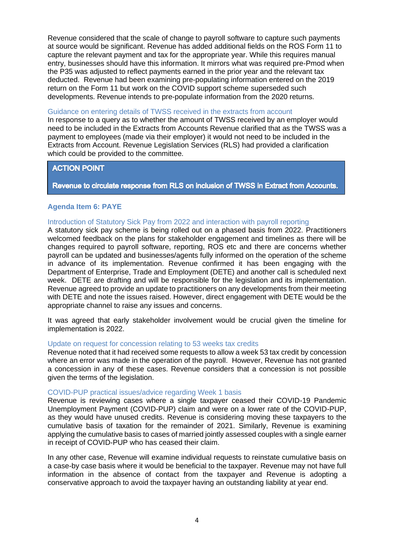Revenue considered that the scale of change to payroll software to capture such payments at source would be significant. Revenue has added additional fields on the ROS Form 11 to capture the relevant payment and tax for the appropriate year. While this requires manual entry, businesses should have this information. It mirrors what was required pre-Pmod when the P35 was adjusted to reflect payments earned in the prior year and the relevant tax deducted. Revenue had been examining pre-populating information entered on the 2019 return on the Form 11 but work on the COVID support scheme superseded such developments. Revenue intends to pre-populate information from the 2020 returns.

## Guidance on entering details of TWSS received in the extracts from account

In response to a query as to whether the amount of TWSS received by an employer would need to be included in the Extracts from Accounts Revenue clarified that as the TWSS was a payment to employees (made via their employer) it would not need to be included in the Extracts from Account. Revenue Legislation Services (RLS) had provided a clarification which could be provided to the committee.

# **ACTION POINT**

# Revenue to circulate response from RLS on inclusion of TWSS in Extract from Accounts.

# **Agenda Item 6: PAYE**

# Introduction of Statutory Sick Pay from 2022 and interaction with payroll reporting

A statutory sick pay scheme is being rolled out on a phased basis from 2022. Practitioners welcomed feedback on the plans for stakeholder engagement and timelines as there will be changes required to payroll software, reporting, ROS etc and there are concerns whether payroll can be updated and businesses/agents fully informed on the operation of the scheme in advance of its implementation. Revenue confirmed it has been engaging with the Department of Enterprise, Trade and Employment (DETE) and another call is scheduled next week. DETE are drafting and will be responsible for the legislation and its implementation. Revenue agreed to provide an update to practitioners on any developments from their meeting with DETE and note the issues raised. However, direct engagement with DETE would be the appropriate channel to raise any issues and concerns.

It was agreed that early stakeholder involvement would be crucial given the timeline for implementation is 2022.

# Update on request for concession relating to 53 weeks tax credits

Revenue noted that it had received some requests to allow a week 53 tax credit by concession where an error was made in the operation of the payroll. However, Revenue has not granted a concession in any of these cases. Revenue considers that a concession is not possible given the terms of the legislation.

# COVID-PUP practical issues/advice regarding Week 1 basis

Revenue is reviewing cases where a single taxpayer ceased their COVID-19 Pandemic Unemployment Payment (COVID-PUP) claim and were on a lower rate of the COVID-PUP, as they would have unused credits. Revenue is considering moving these taxpayers to the cumulative basis of taxation for the remainder of 2021. Similarly, Revenue is examining applying the cumulative basis to cases of married jointly assessed couples with a single earner in receipt of COVID-PUP who has ceased their claim.

In any other case, Revenue will examine individual requests to reinstate cumulative basis on a case-by case basis where it would be beneficial to the taxpayer. Revenue may not have full information in the absence of contact from the taxpayer and Revenue is adopting a conservative approach to avoid the taxpayer having an outstanding liability at year end.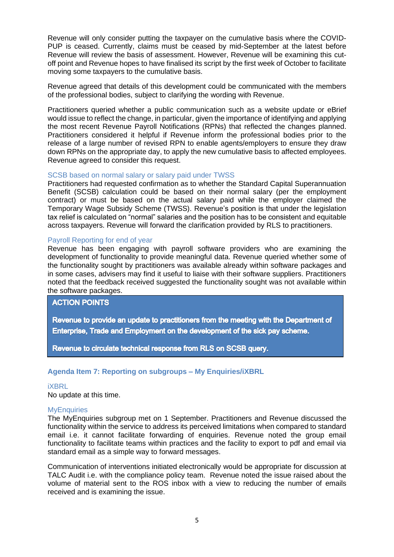Revenue will only consider putting the taxpayer on the cumulative basis where the COVID-PUP is ceased. Currently, claims must be ceased by mid-September at the latest before Revenue will review the basis of assessment. However, Revenue will be examining this cutoff point and Revenue hopes to have finalised its script by the first week of October to facilitate moving some taxpayers to the cumulative basis.

Revenue agreed that details of this development could be communicated with the members of the professional bodies, subject to clarifying the wording with Revenue.

Practitioners queried whether a public communication such as a website update or eBrief would issue to reflect the change, in particular, given the importance of identifying and applying the most recent Revenue Payroll Notifications (RPNs) that reflected the changes planned. Practitioners considered it helpful if Revenue inform the professional bodies prior to the release of a large number of revised RPN to enable agents/employers to ensure they draw down RPNs on the appropriate day, to apply the new cumulative basis to affected employees. Revenue agreed to consider this request.

# SCSB based on normal salary or salary paid under TWSS

Practitioners had requested confirmation as to whether the Standard Capital Superannuation Benefit (SCSB) calculation could be based on their normal salary (per the employment contract) or must be based on the actual salary paid while the employer claimed the Temporary Wage Subsidy Scheme (TWSS). Revenue's position is that under the legislation tax relief is calculated on "normal" salaries and the position has to be consistent and equitable across taxpayers. Revenue will forward the clarification provided by RLS to practitioners.

# Payroll Reporting for end of year

Revenue has been engaging with payroll software providers who are examining the development of functionality to provide meaningful data. Revenue queried whether some of the functionality sought by practitioners was available already within software packages and in some cases, advisers may find it useful to liaise with their software suppliers. Practitioners noted that the feedback received suggested the functionality sought was not available within the software packages.

# **ACTION POINTS**

Revenue to provide an update to practitioners from the meeting with the Department of Enterprise. Trade and Employment on the development of the sick pay scheme.

Revenue to circulate technical response from RLS on SCSB query.

# **Agenda Item 7: Reporting on subgroups – My Enquiries/iXBRL**

## iXBRL

No update at this time.

## **MyEnquiries**

The MyEnquiries subgroup met on 1 September. Practitioners and Revenue discussed the functionality within the service to address its perceived limitations when compared to standard email i.e. it cannot facilitate forwarding of enquiries. Revenue noted the group email functionality to facilitate teams within practices and the facility to export to pdf and email via standard email as a simple way to forward messages.

Communication of interventions initiated electronically would be appropriate for discussion at TALC Audit i.e. with the compliance policy team. Revenue noted the issue raised about the volume of material sent to the ROS inbox with a view to reducing the number of emails received and is examining the issue.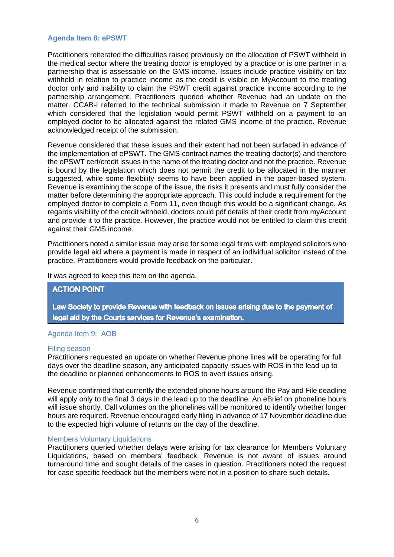## **Agenda Item 8: ePSWT**

Practitioners reiterated the difficulties raised previously on the allocation of PSWT withheld in the medical sector where the treating doctor is employed by a practice or is one partner in a partnership that is assessable on the GMS income. Issues include practice visibility on tax withheld in relation to practice income as the credit is visible on MyAccount to the treating doctor only and inability to claim the PSWT credit against practice income according to the partnership arrangement. Practitioners queried whether Revenue had an update on the matter. CCAB-I referred to the technical submission it made to Revenue on 7 September which considered that the legislation would permit PSWT withheld on a payment to an employed doctor to be allocated against the related GMS income of the practice. Revenue acknowledged receipt of the submission.

Revenue considered that these issues and their extent had not been surfaced in advance of the implementation of ePSWT. The GMS contract names the treating doctor(s) and therefore the ePSWT cert/credit issues in the name of the treating doctor and not the practice. Revenue is bound by the legislation which does not permit the credit to be allocated in the manner suggested, while some flexibility seems to have been applied in the paper-based system. Revenue is examining the scope of the issue, the risks it presents and must fully consider the matter before determining the appropriate approach. This could include a requirement for the employed doctor to complete a Form 11, even though this would be a significant change. As regards visibility of the credit withheld, doctors could pdf details of their credit from myAccount and provide it to the practice. However, the practice would not be entitled to claim this credit against their GMS income.

Practitioners noted a similar issue may arise for some legal firms with employed solicitors who provide legal aid where a payment is made in respect of an individual solicitor instead of the practice. Practitioners would provide feedback on the particular.

It was agreed to keep this item on the agenda.

## **ACTION POINT**

Law Society to provide Revenue with feedback on issues arising due to the payment of legal aid by the Courts services for Revenue's examination.

## Agenda Item 9: AOB

## Filing season

Practitioners requested an update on whether Revenue phone lines will be operating for full days over the deadline season, any anticipated capacity issues with ROS in the lead up to the deadline or planned enhancements to ROS to avert issues arising.

Revenue confirmed that currently the extended phone hours around the Pay and File deadline will apply only to the final 3 days in the lead up to the deadline. An eBrief on phoneline hours will issue shortly. Call volumes on the phonelines will be monitored to identify whether longer hours are required. Revenue encouraged early filing in advance of 17 November deadline due to the expected high volume of returns on the day of the deadline.

## Members Voluntary Liquidations

Practitioners queried whether delays were arising for tax clearance for Members Voluntary Liquidations, based on members' feedback. Revenue is not aware of issues around turnaround time and sought details of the cases in question. Practitioners noted the request for case specific feedback but the members were not in a position to share such details.